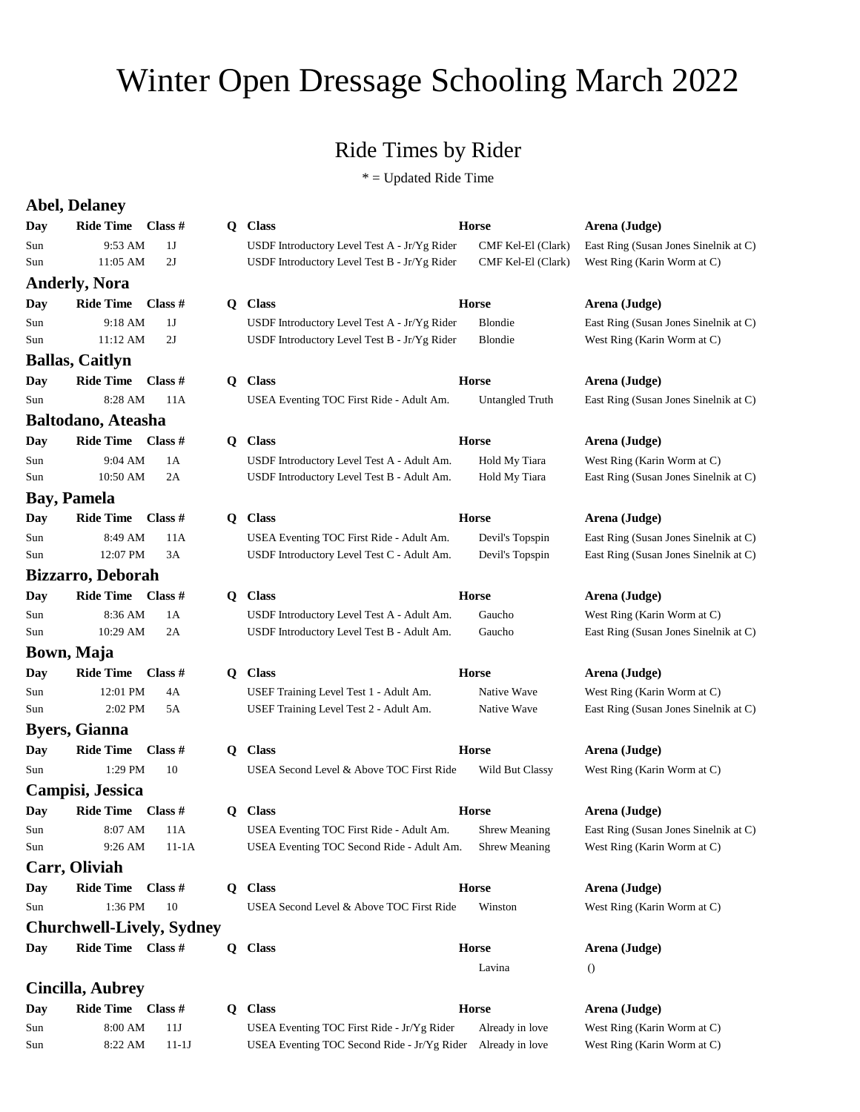## Winter Open Dressage Schooling March 2022

## Ride Times by Rider

\* = Updated Ride Time

|     | <b>Abel, Delaney</b>             |                |    |                                              |                      |                                       |
|-----|----------------------------------|----------------|----|----------------------------------------------|----------------------|---------------------------------------|
| Day | <b>Ride Time</b>                 | Class $#$      | Q  | <b>Class</b>                                 | <b>Horse</b>         | Arena (Judge)                         |
| Sun | 9:53 AM                          | 1J             |    | USDF Introductory Level Test A - Jr/Yg Rider | CMF Kel-El (Clark)   | East Ring (Susan Jones Sinelnik at C) |
| Sun | 11:05 AM                         | 2J             |    | USDF Introductory Level Test B - Jr/Yg Rider | CMF Kel-El (Clark)   | West Ring (Karin Worm at C)           |
|     | <b>Anderly, Nora</b>             |                |    |                                              |                      |                                       |
| Day | <b>Ride Time</b>                 | Class $#$      | Q  | <b>Class</b>                                 | <b>Horse</b>         | Arena (Judge)                         |
| Sun | 9:18 AM                          | 1J             |    | USDF Introductory Level Test A - Jr/Yg Rider | Blondie              | East Ring (Susan Jones Sinelnik at C) |
| Sun | 11:12 AM                         | 2J             |    | USDF Introductory Level Test B - Jr/Yg Rider | Blondie              | West Ring (Karin Worm at C)           |
|     | <b>Ballas, Caitlyn</b>           |                |    |                                              |                      |                                       |
| Day | <b>Ride Time</b>                 | Class $#$      |    | Q Class                                      | <b>Horse</b>         | Arena (Judge)                         |
| Sun | 8:28 AM                          | 11A            |    | USEA Eventing TOC First Ride - Adult Am.     | Untangled Truth      | East Ring (Susan Jones Sinelnik at C) |
|     | <b>Baltodano, Ateasha</b>        |                |    |                                              |                      |                                       |
| Day | Ride Time Class #                |                | Q  | <b>Class</b>                                 | <b>Horse</b>         | Arena (Judge)                         |
| Sun | 9:04 AM                          | 1A             |    | USDF Introductory Level Test A - Adult Am.   | Hold My Tiara        | West Ring (Karin Worm at C)           |
| Sun | 10:50 AM                         | 2A             |    | USDF Introductory Level Test B - Adult Am.   | Hold My Tiara        | East Ring (Susan Jones Sinelnik at C) |
|     | <b>Bay, Pamela</b>               |                |    |                                              |                      |                                       |
| Day | <b>Ride Time</b>                 | Class $#$      | Q  | <b>Class</b>                                 | <b>Horse</b>         | Arena (Judge)                         |
| Sun | 8:49 AM                          | 11A            |    | USEA Eventing TOC First Ride - Adult Am.     | Devil's Topspin      | East Ring (Susan Jones Sinelnik at C) |
| Sun | 12:07 PM                         | 3A             |    | USDF Introductory Level Test C - Adult Am.   | Devil's Topspin      | East Ring (Susan Jones Sinelnik at C) |
|     | Bizzarro, Deborah                |                |    |                                              |                      |                                       |
| Day | <b>Ride Time</b>                 | <b>Class</b> # |    | Q Class                                      | <b>Horse</b>         | Arena (Judge)                         |
| Sun | 8:36 AM                          | 1A             |    | USDF Introductory Level Test A - Adult Am.   | Gaucho               | West Ring (Karin Worm at C)           |
| Sun | 10:29 AM                         | 2A             |    | USDF Introductory Level Test B - Adult Am.   | Gaucho               | East Ring (Susan Jones Sinelnik at C) |
|     | Bown, Maja                       |                |    |                                              |                      |                                       |
| Day | <b>Ride Time</b>                 | Class $#$      | Q  | <b>Class</b>                                 | Horse                | Arena (Judge)                         |
| Sun | 12:01 PM                         | 4Α             |    | USEF Training Level Test 1 - Adult Am.       | Native Wave          | West Ring (Karin Worm at C)           |
| Sun | 2:02 PM                          | 5A             |    | USEF Training Level Test 2 - Adult Am.       | Native Wave          | East Ring (Susan Jones Sinelnik at C) |
|     | <b>Byers, Gianna</b>             |                |    |                                              |                      |                                       |
| Day | <b>Ride Time</b>                 | Class $#$      | Q. | <b>Class</b>                                 | <b>Horse</b>         | Arena (Judge)                         |
| Sun | 1:29 PM                          | 10             |    | USEA Second Level & Above TOC First Ride     | Wild But Classy      | West Ring (Karin Worm at C)           |
|     | Campisi, Jessica                 |                |    |                                              |                      |                                       |
| Day | Ride Time Class #                |                | Q  | <b>Class</b>                                 | <b>Horse</b>         | Arena (Judge)                         |
| Sun | 8:07 AM                          | 11A            |    | USEA Eventing TOC First Ride - Adult Am.     | Shrew Meaning        | East Ring (Susan Jones Sinelnik at C) |
| Sun | 9:26 AM                          | 11-1A          |    | USEA Eventing TOC Second Ride - Adult Am.    | <b>Shrew Meaning</b> | West Ring (Karin Worm at C)           |
|     | Carr, Oliviah                    |                |    |                                              |                      |                                       |
| Day | <b>Ride Time</b>                 | Class #        |    | Q Class                                      | <b>Horse</b>         | Arena (Judge)                         |
| Sun | 1:36 PM                          | 10             |    | USEA Second Level & Above TOC First Ride     | Winston              | West Ring (Karin Worm at C)           |
|     | <b>Churchwell-Lively, Sydney</b> |                |    |                                              |                      |                                       |
| Day | <b>Ride Time</b>                 | Class $#$      |    | Q Class                                      | Horse                | Arena (Judge)                         |
|     |                                  |                |    |                                              | Lavina               | $\theta$                              |
|     | <b>Cincilla, Aubrey</b>          |                |    |                                              |                      |                                       |
| Day | Ride Time Class #                |                | Q  | <b>Class</b>                                 | <b>Horse</b>         | Arena (Judge)                         |
| Sun | 8:00 AM                          | 11J            |    | USEA Eventing TOC First Ride - Jr/Yg Rider   | Already in love      | West Ring (Karin Worm at C)           |
| Sun | 8:22 AM                          | $11-1J$        |    | USEA Eventing TOC Second Ride - Jr/Yg Rider  | Already in love      | West Ring (Karin Worm at C)           |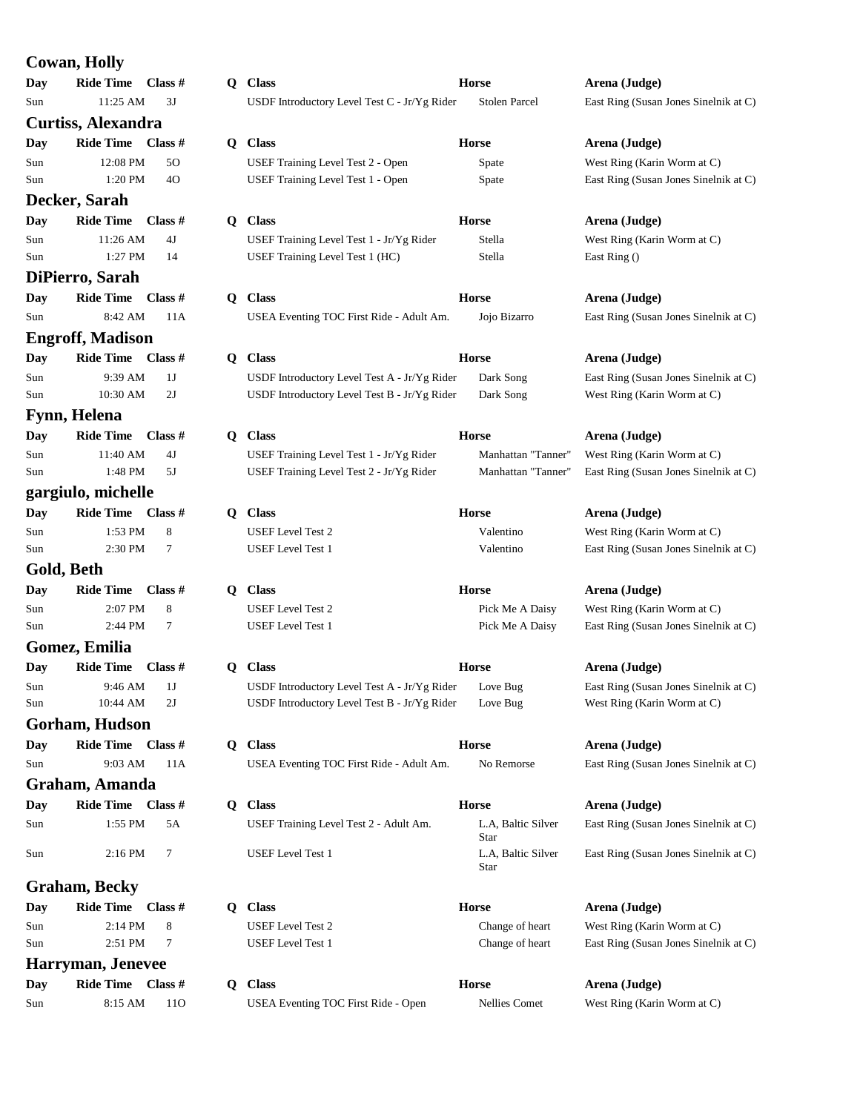## **Cowan, Holly**

|            | Соман, попу             |  |
|------------|-------------------------|--|
|            | Day Ride Time Class #   |  |
| Sun        | 11:25 AM 3J             |  |
|            | Curtiss, Alexandra      |  |
|            | Day Ride Time Class #   |  |
| Sun        | 12:08 PM<br>50          |  |
| Sun        | 1:20 PM<br>4O           |  |
|            | Decker, Sarah           |  |
|            | Day Ride Time Class #   |  |
| Sun        | 11:26 AM 4J             |  |
| Sun        | 1:27 PM<br>- 14         |  |
|            | DiPierro, Sarah         |  |
|            | Day Ride Time Class #   |  |
| Sun        | 8:42 AM 11A             |  |
|            | <b>Engroff, Madison</b> |  |
|            | Day Ride Time Class #   |  |
| Sun        | 9:39 AM<br>1J           |  |
| Sun        | 10:30 AM 2J             |  |
|            | Fynn, Helena            |  |
|            | Day Ride Time Class #   |  |
| Sun        | 11:40 AM 4J             |  |
| Sun        | 1:48 PM 5J              |  |
|            | gargiulo, michelle      |  |
|            | Day Ride Time Class #   |  |
| Sun        | 1:53 PM 8               |  |
| Sun        | 2:30 PM<br>7            |  |
| Gold, Beth |                         |  |
|            | Day Ride Time Class #   |  |
| Sun        | 2:07 PM 8               |  |
| Sun        | 2:44 PM<br>-7           |  |
|            | Gomez, Emilia           |  |
|            | Day Ride Time Class #   |  |
| <b>Sun</b> | 9:46 AM<br>1 J          |  |
| Sun        | 10:44 AM<br>2J          |  |
|            | Gorham, Hudson          |  |
| Day        | Ride Time Class #       |  |
| Sun        | 9:03 AM<br>11A          |  |
|            | Graham, Amanda          |  |
| Day        | Ride Time Class #       |  |
| Sun        | 1:55 PM<br>5A           |  |
| Sun        | 2:16 PM<br>7            |  |
|            | Graham, Becky           |  |
| Day        | Ride Time Class #       |  |
| Sun        | 2:14 PM<br>8            |  |
|            |                         |  |

| Day | <b>Ride Time</b> | Class #         |
|-----|------------------|-----------------|
| Sun | $8:15$ AM        | 11 <sub>O</sub> |

|     | Cowan, Livily           |           |    |                                              |                      |                                       |
|-----|-------------------------|-----------|----|----------------------------------------------|----------------------|---------------------------------------|
| Day | <b>Ride Time</b>        | Class $#$ |    | Q Class                                      | <b>Horse</b>         | Arena (Judge)                         |
| Sun | 11:25 AM                | 3J        |    | USDF Introductory Level Test C - Jr/Yg Rider | <b>Stolen Parcel</b> | East Ring (Susan Jones Sinelnik at C) |
|     | Curtiss, Alexandra      |           |    |                                              |                      |                                       |
| Day | <b>Ride Time</b>        | Class $#$ |    | Q Class                                      | <b>Horse</b>         | Arena (Judge)                         |
| Sun | 12:08 PM                | 50        |    | USEF Training Level Test 2 - Open            | Spate                | West Ring (Karin Worm at C)           |
| Sun | 1:20 PM                 | 40        |    | USEF Training Level Test 1 - Open            | Spate                | East Ring (Susan Jones Sinelnik at C) |
|     | Decker, Sarah           |           |    |                                              |                      |                                       |
| Day | <b>Ride Time</b>        | Class $#$ | Q. | <b>Class</b>                                 | <b>Horse</b>         | Arena (Judge)                         |
| Sun | 11:26 AM                | 4J        |    | USEF Training Level Test 1 - Jr/Yg Rider     | Stella               | West Ring (Karin Worm at C)           |
| Sun | 1:27 PM                 | 14        |    | USEF Training Level Test 1 (HC)              | Stella               | East Ring ()                          |
|     | DiPierro, Sarah         |           |    |                                              |                      |                                       |
| Day | <b>Ride Time</b>        | Class #   | Q. | <b>Class</b>                                 | <b>Horse</b>         | Arena (Judge)                         |
| Sun | 8:42 AM                 | 11A       |    | USEA Eventing TOC First Ride - Adult Am.     | Jojo Bizarro         | East Ring (Susan Jones Sinelnik at C) |
|     |                         |           |    |                                              |                      |                                       |
|     | <b>Engroff, Madison</b> |           |    |                                              |                      |                                       |
| Day | Ride Time Class #       |           | Q. | <b>Class</b>                                 | <b>Horse</b>         | Arena (Judge)                         |
| Sun | 9:39 AM                 | 1J        |    | USDF Introductory Level Test A - Jr/Yg Rider | Dark Song            | East Ring (Susan Jones Sinelnik at C) |
| Sun | 10:30 AM                | 2J        |    | USDF Introductory Level Test B - Jr/Yg Rider | Dark Song            | West Ring (Karin Worm at C)           |
|     | Fynn, Helena            |           |    |                                              |                      |                                       |
| Day | <b>Ride Time</b>        | Class $#$ | Q. | <b>Class</b>                                 | <b>Horse</b>         | Arena (Judge)                         |
| Sun | 11:40 AM                | 4J        |    | USEF Training Level Test 1 - Jr/Yg Rider     | Manhattan "Tanner"   | West Ring (Karin Worm at C)           |
| Sun | 1:48 PM                 | 5J        |    | USEF Training Level Test 2 - Jr/Yg Rider     | Manhattan "Tanner"   | East Ring (Susan Jones Sinelnik at C) |
|     | gargiulo, michelle      |           |    |                                              |                      |                                       |
| Day | <b>Ride Time</b>        | Class #   |    | Q Class                                      | <b>Horse</b>         | Arena (Judge)                         |
| Sun | 1:53 PM                 | 8         |    | <b>USEF</b> Level Test 2                     | Valentino            | West Ring (Karin Worm at C)           |
| Sun | 2:30 PM                 | 7         |    | <b>USEF</b> Level Test 1                     | Valentino            | East Ring (Susan Jones Sinelnik at C) |
|     | Gold, Beth              |           |    |                                              |                      |                                       |
| Day | <b>Ride Time</b>        | Class $#$ | Q. | <b>Class</b>                                 | <b>Horse</b>         | Arena (Judge)                         |
| Sun | 2:07 PM                 | 8         |    | <b>USEF</b> Level Test 2                     | Pick Me A Daisy      | West Ring (Karin Worm at C)           |
| Sun | 2:44 PM                 | 7         |    | <b>USEF</b> Level Test 1                     | Pick Me A Daisy      | East Ring (Susan Jones Sinelnik at C) |
|     | Gomez, Emilia           |           |    |                                              |                      |                                       |
| Day | <b>Ride Time</b>        | Class #   | Q. | <b>Class</b>                                 | <b>Horse</b>         | Arena (Judge)                         |
| Sun | 9:46 AM                 | 1J        |    | USDF Introductory Level Test A - Jr/Yg Rider | Love Bug             | East Ring (Susan Jones Sinelnik at C) |
| Sun | 10:44 AM                | 2J        |    | USDF Introductory Level Test B - Jr/Yg Rider | Love Bug             | West Ring (Karin Worm at C)           |
|     | Gorham, Hudson          |           |    |                                              |                      |                                       |
| Day | Ride Time Class #       |           |    | Q Class                                      | <b>Horse</b>         | Arena (Judge)                         |
| Sun | 9:03 AM                 | 11A       |    | USEA Eventing TOC First Ride - Adult Am.     | No Remorse           | East Ring (Susan Jones Sinelnik at C) |
|     | Graham, Amanda          |           |    |                                              |                      |                                       |
| Day | <b>Ride Time</b>        | Class $#$ | Q. | <b>Class</b>                                 | <b>Horse</b>         | Arena (Judge)                         |
| Sun | 1:55 PM                 | 5A        |    | USEF Training Level Test 2 - Adult Am.       | L.A, Baltic Silver   | East Ring (Susan Jones Sinelnik at C) |
|     |                         |           |    |                                              | Star                 |                                       |
| Sun | $2:16$ PM               | 7         |    | <b>USEF</b> Level Test 1                     | L.A, Baltic Silver   | East Ring (Susan Jones Sinelnik at C) |
|     |                         |           |    |                                              | Star                 |                                       |
|     | <b>Graham, Becky</b>    |           |    |                                              |                      |                                       |
| Day | <b>Ride Time</b>        | Class $#$ | Q. | <b>Class</b>                                 | <b>Horse</b>         | Arena (Judge)                         |
| Sun | 2:14 PM                 | 8         |    | <b>USEF</b> Level Test 2                     | Change of heart      | West Ring (Karin Worm at C)           |
| Sun | 2:51 PM                 | 7         |    | USEF Level Test 1                            | Change of heart      | East Ring (Susan Jones Sinelnik at C) |
|     | Harryman, Jenevee       |           |    |                                              |                      |                                       |

**Data Ride Times Arena (Judge) Class**  $\qquad$  **Horse**  $\qquad$  **Arena (Judge)** USEA Eventing TOC First Ride - Open Nellies Comet West Ring (Karin Worm at C)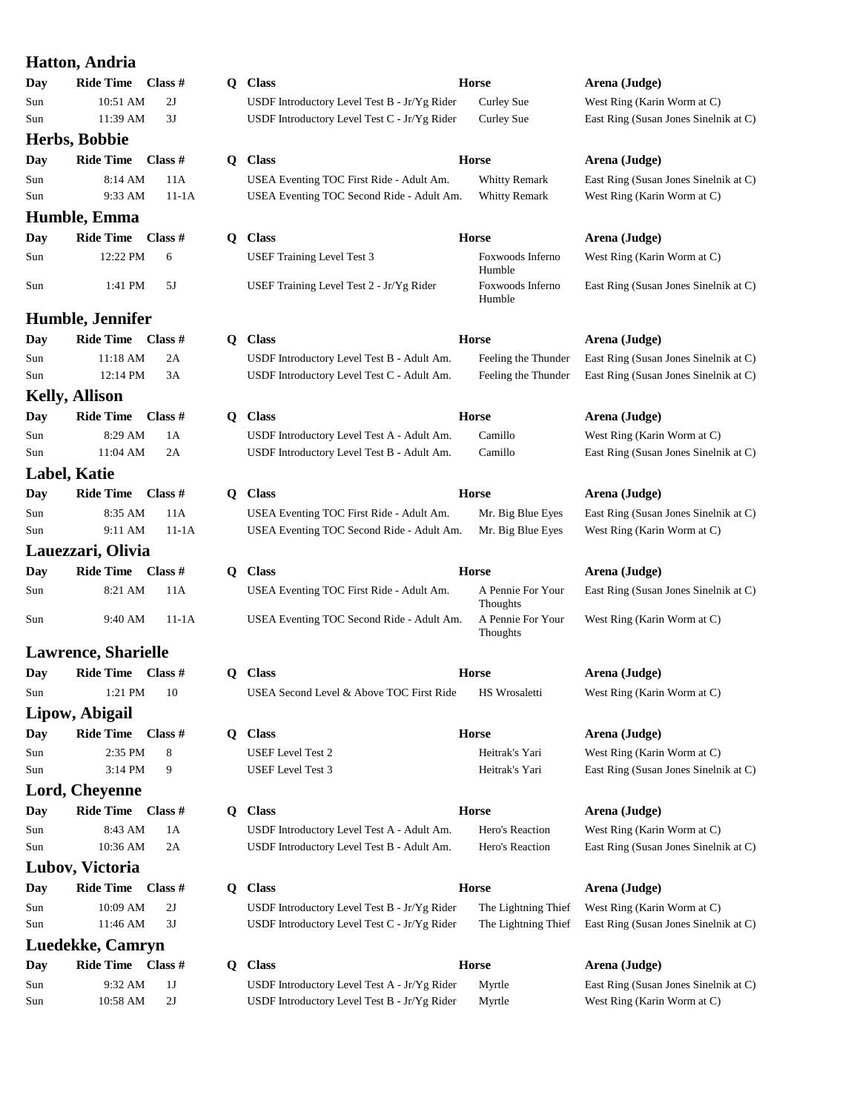|            | <b>Hatton, Andria</b>               |          |   |                              |
|------------|-------------------------------------|----------|---|------------------------------|
| Day        | Ride Time Class #                   |          |   | Q Class                      |
| Sun        | 10:51 AM 2J                         |          |   | <b>USDFI</b>                 |
| Sun        | 11:39 AM 3J                         |          |   | <b>USDFI</b>                 |
|            | Herbs, Bobbie                       |          |   |                              |
|            | Day Ride Time Class #               |          |   | Q Class                      |
| Sun        | 8:14 AM 11A                         |          |   | <b>USEA1</b>                 |
| Sun        | 9:33 AM                             | $11-1A$  |   | <b>USEA</b>                  |
|            | Humble, Emma                        |          |   |                              |
|            | Day Ride Time Class #               |          |   | Q Class                      |
| Sun        | 12:22 PM                            | 6        |   | USEF <sub>1</sub>            |
|            |                                     |          |   |                              |
| Sun        | $1:41$ PM $5J$                      |          |   | <b>USEF1</b>                 |
|            | Humble, Jennifer                    |          |   |                              |
|            | Day Ride Time Class #               |          |   | Q Class                      |
| Sun        | 11:18 AM                            | 2A       |   | <b>USDFI</b>                 |
| Sun        | 12:14 PM 3A                         |          |   | USDF I                       |
|            |                                     |          |   |                              |
|            | <b>Kelly, Allison</b>               |          |   |                              |
|            | Day Ride Time Class #               |          |   | Q Class                      |
| Sun<br>Sun | 8:29 AM<br>11:04 AM 2A              | 1A       |   | <b>USDFI</b><br><b>USDFI</b> |
|            |                                     |          |   |                              |
|            | Label, Katie                        |          |   |                              |
|            | Day Ride Time Class #               |          |   | Q Class                      |
| Sun        | 8:35 AM<br>9:11 AM 11-1A            | 11A      |   | <b>USEA</b>                  |
| Sun        |                                     |          |   | <b>USEA</b>                  |
|            | Lauezzari, Olivia                   |          |   |                              |
|            | Day Ride Time Class #               |          |   | Q Class                      |
| Sun        | 8:21 AM 11A                         |          |   | <b>USEA</b>                  |
| Sun        | 9:40 AM 11-1A                       |          |   | <b>USEA</b>                  |
|            | <b>Lawrence, Sharielle</b>          |          |   |                              |
|            | Day Ride Time Class #               |          |   | Q Class                      |
| Sun        | 1:21 PM                             | 10       |   | USEA :                       |
|            |                                     |          |   |                              |
|            | Lipow, Abigail<br>Ride Time Class # |          |   |                              |
| <b>Day</b> | 2:35 PM                             |          |   | Q Class                      |
| Sun<br>Sun | 3:14 PM                             | 8<br>9   |   | <b>USEFI</b><br>USEF I       |
|            |                                     |          |   |                              |
|            | Lord, Cheyenne                      |          |   |                              |
| Day        | Ride Time Class #                   |          |   | Q Class                      |
| Sun<br>Sun | 8:43 AM<br>10:36 AM                 | 1A<br>2A |   | <b>USDFI</b><br>USDF I       |
|            |                                     |          |   |                              |
|            | Lubov, Victoria                     |          |   |                              |
| Day        | Ride Time Class #                   |          | Q | <b>Class</b>                 |
| Sun        | 10:09 AM                            | 2J       |   | USDF I                       |
| Sun        | 11:46 AM                            | 3J       |   | USDF I                       |
|            | Luedekke, Camryn                    |          |   |                              |
| Day        | Ride Time Class #                   |          | Q | <b>Class</b>                 |
| Sun        | 9:32 AM                             | 1J       |   | <b>USDFI</b>                 |
| Sun        | 10:58 AM                            | 2J       |   | USDF I                       |

| uuria                |           |       |                                                                                       |                                              |
|----------------------|-----------|-------|---------------------------------------------------------------------------------------|----------------------------------------------|
| : Time               | Class #   |       | Q Class                                                                               | Horse                                        |
| 10:51 AM<br>11:39 AM | 2J        |       | USDF Introductory Level Test B - Jr/Yg Rider                                          | Curley Sue                                   |
|                      | 3J        |       | USDF Introductory Level Test C - Jr/Yg Rider                                          | Curley Sue                                   |
| bbie                 |           |       |                                                                                       |                                              |
| : Time               | Class #   | Q.    | <b>Class</b>                                                                          | <b>Horse</b>                                 |
| 8:14 AM<br>9:33 AM   | 11A       | 11-1A | USEA Eventing TOC First Ride - Adult Am.<br>USEA Eventing TOC Second Ride - Adult Am. | <b>Whitty Remark</b><br><b>Whitty Remark</b> |
| <b>lmma</b>          |           |       |                                                                                       |                                              |
| : Time               | Class #   |       | Q Class                                                                               | <b>Horse</b>                                 |
| 12:22 PM             | 6         |       | <b>USEF Training Level Test 3</b>                                                     | Foxwoods Inferno                             |
|                      |           |       |                                                                                       | Humble                                       |
| 1:41 PM              | 5J        |       | USEF Training Level Test 2 - Jr/Yg Rider                                              | Foxwoods Inferno<br>Humble                   |
| ennifer              |           |       |                                                                                       |                                              |
| : Time               | Class #   |       | Q Class                                                                               | <b>Horse</b>                                 |
| 11:18 AM             | 2A        |       | USDF Introductory Level Test B - Adult Am.                                            | Feeling the Thunde                           |
| 12:14 PM             | 3A        |       | USDF Introductory Level Test C - Adult Am.                                            | Feeling the Thunde                           |
| son                  |           |       |                                                                                       |                                              |
| Time                 | Class #   |       | Q Class                                                                               | <b>Horse</b>                                 |
| 8:29 AM              | 1А        |       | USDF Introductory Level Test A - Adult Am.                                            | Camillo                                      |
| 11:04 AM             | 2A        |       | USDF Introductory Level Test B - Adult Am.                                            | Camillo                                      |
| ie                   |           |       |                                                                                       |                                              |
| Time                 | Class #   | Q.    | <b>Class</b>                                                                          | <b>Horse</b>                                 |
| 8:35 AM              | 11A       |       | USEA Eventing TOC First Ride - Adult Am.<br>USEA Eventing TOC Second Ride - Adult Am. | Mr. Big Blue Eyes                            |
| 9:11 AM              |           | 11-1A |                                                                                       | Mr. Big Blue Eyes                            |
| , Olivia             |           |       |                                                                                       |                                              |
| : Time               | Class #   | Q.    | <b>Class</b>                                                                          | <b>Horse</b>                                 |
| 8:21 AM              | 11A       |       | USEA Eventing TOC First Ride - Adult Am.                                              | A Pennie For Your<br>Thoughts                |
| 9:40 AM              |           | 11-1A | USEA Eventing TOC Second Ride - Adult Am.                                             | A Pennie For Your<br>Thoughts                |
| , Sharielle          |           |       |                                                                                       |                                              |
| : Time               | Class $#$ |       | Q Class                                                                               | <b>Horse</b>                                 |
| $1:21$ PM $10$       |           |       | USEA Second Level & Above TOC First Ride                                              | HS Wrosaletti                                |
| igail                |           |       |                                                                                       |                                              |
| : Time               | Class #   |       | O Class                                                                               | <b>Horse</b>                                 |
| 2:35 PM              | 8         |       | <b>USEF</b> Level Test 2                                                              | Heitrak's Yari                               |
| $3:14$ PM            | 9         |       | <b>USEF</b> Level Test 3                                                              | Heitrak's Yari                               |
| yenne                |           |       |                                                                                       |                                              |
| <b>Time</b>          | Class #   |       | Q Class                                                                               | <b>Horse</b>                                 |
| 8:43 AM              | 1A        |       | USDF Introductory Level Test A - Adult Am.                                            | Hero's Reaction                              |
| 10:36 AM             | 2A        |       | USDF Introductory Level Test B - Adult Am.                                            | Hero's Reaction                              |
| ctoria               |           |       |                                                                                       |                                              |
| : Time               | Class $#$ |       | Q Class                                                                               | <b>Horse</b>                                 |
| 10:09 AM             | 2J        |       | USDF Introductory Level Test B - Jr/Yg Rider                                          | The Lightning Thie                           |
| 11:46 AM             | 3J        |       | USDF Introductory Level Test C - Jr/Yg Rider                                          | The Lightning Thie                           |
| <b>Camryn</b>        |           |       |                                                                                       |                                              |
| Time                 | Class #   | Q     | <b>Class</b>                                                                          | <b>Horse</b>                                 |

Introductory Level Test A - Jr/Yg Rider Myrtle East Ring (Susan Jones Sinelnik at C) Introductory Level Test B - Jr/Yg Rider Myrtle West Ring (Karin Worm at C)

East Ring (Susan Jones Sinelnik at C) West Ring (Karin Worm at C)  $Area (Judge)$ West Ring (Karin Worm at C) East Ring (Susan Jones Sinelnik at C)  $Area (Judge)$ er East Ring (Susan Jones Sinelnik at C) er East Ring (Susan Jones Sinelnik at C)

 $Area (Judge)$ 

 $Area (Judge)$ 

West Ring (Karin Worm at C) East Ring (Susan Jones Sinelnik at C)

 $Area (Judge)$ West Ring (Karin Worm at C) East Ring (Susan Jones Sinelnik at C)

 $Area (Judge)$ East Ring (Susan Jones Sinelnik at C) West Ring (Karin Worm at C)

 $Area (Judge)$ East Ring (Susan Jones Sinelnik at C)

West Ring (Karin Worm at C)

 $Area (Judge)$ West Ring (Karin Worm at C)

 $Area (Judge)$ West Ring (Karin Worm at C) East Ring (Susan Jones Sinelnik at C)

 $Area (Judge)$ West Ring (Karin Worm at C) East Ring (Susan Jones Sinelnik at C)

 $Area (Judge)$ ef West Ring (Karin Worm at C) ef East Ring (Susan Jones Sinelnik at C)

## $Area (Judge)$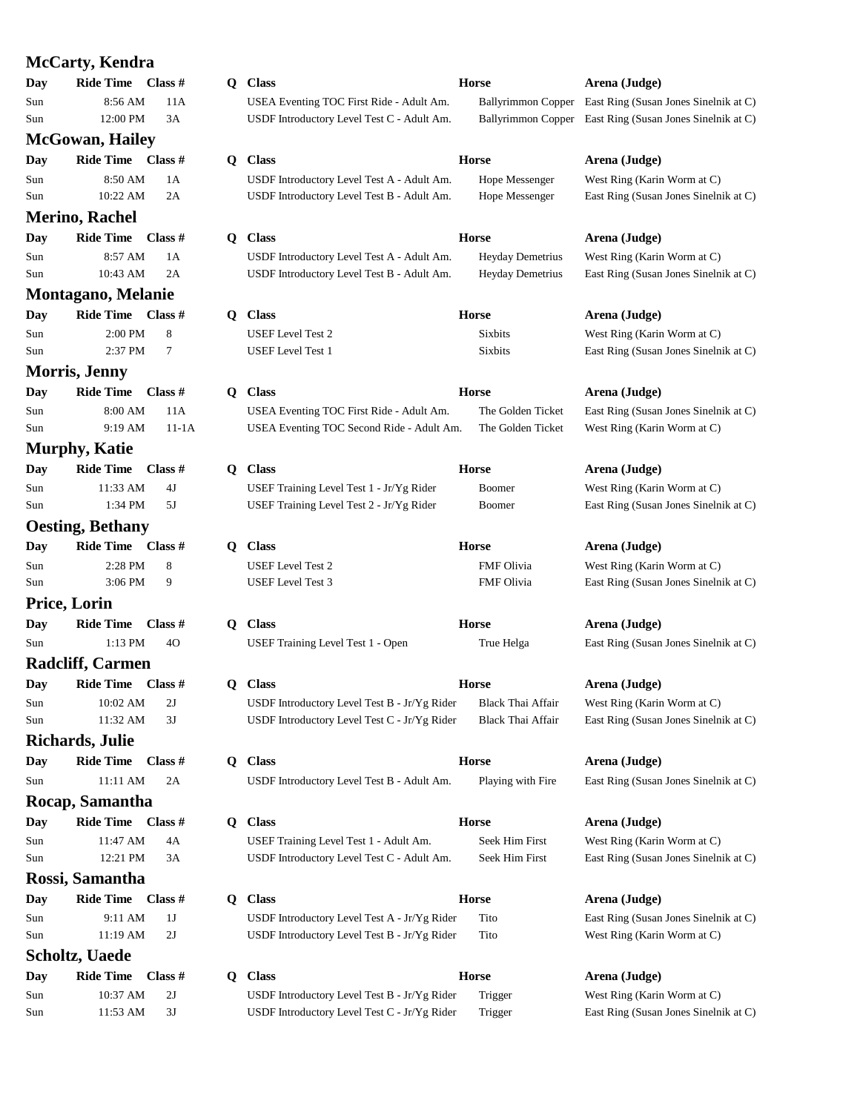| McCarty, Kendra |                            |                |  |  |  |
|-----------------|----------------------------|----------------|--|--|--|
| Day             | Ride Time Class #          |                |  |  |  |
| Sun             | 8:56 AM                    | 11A            |  |  |  |
| Sun             | 12:00 PM 3A                |                |  |  |  |
|                 | <b>McGowan, Hailey</b>     |                |  |  |  |
| Day             | Ride Time Class #          |                |  |  |  |
| Sun             | 8:50 AM 1A                 |                |  |  |  |
| Sun             | 10:22 AM                   | 2A             |  |  |  |
|                 | Merino, Rachel             |                |  |  |  |
| Day             | Ride Time Class #          |                |  |  |  |
| Sun             | 8:57 AM                    | 1A             |  |  |  |
| Sun             | 10:43 AM                   | 2A             |  |  |  |
|                 | <b>Montagano, Melanie</b>  |                |  |  |  |
|                 | Day Ride Time Class #      |                |  |  |  |
| Sun             | 2:00 PM                    | - 8            |  |  |  |
| Sun             | 2:37 PM                    | $\overline{7}$ |  |  |  |
|                 | <b>Morris, Jenny</b>       |                |  |  |  |
| Day             | Ride Time Class #          |                |  |  |  |
| Sun             | 8:00 AM 11A                |                |  |  |  |
| Sun             | 9:19 AM 11-1A              |                |  |  |  |
|                 | <b>Murphy, Katie</b>       |                |  |  |  |
|                 | Day Ride Time Class #      |                |  |  |  |
| Sun             | $11:33$ AM $4J$            |                |  |  |  |
| Sun             | 1:34 PM 5J                 |                |  |  |  |
|                 | <b>Oesting, Bethany</b>    |                |  |  |  |
| Day             | Ride Time Class #          |                |  |  |  |
| Sun             | $2:28 \text{ PM} \qquad 8$ |                |  |  |  |
| Sun             | 3:06 PM 9                  |                |  |  |  |
|                 | Price, Lorin               |                |  |  |  |
|                 | Day Ride Time Class #      |                |  |  |  |
| Sun             | $1:13$ PM $40$             |                |  |  |  |
|                 | <b>Radcliff, Carmen</b>    |                |  |  |  |
|                 | Day Ride Time Class #      |                |  |  |  |
| Sun             | 10:02 AM                   | 2J             |  |  |  |
| Sun             | 11:32 AM                   | 3J             |  |  |  |
|                 | <b>Richards, Julie</b>     |                |  |  |  |
| Day             | Ride Time Class #          |                |  |  |  |
| Sun             | $11:11$ AM                 | 2A             |  |  |  |
|                 |                            |                |  |  |  |
|                 | Rocap, Samantha            |                |  |  |  |
| Day             | Ride Time Class #          |                |  |  |  |
| Sun             | 11:47 AM 4A                |                |  |  |  |
| Sun             | 12:21 PM                   | 3A             |  |  |  |
|                 | Rossi, Samantha            |                |  |  |  |
| Day             | Ride Time Class #          |                |  |  |  |
| Sun             | 9:11 AM                    | 1J             |  |  |  |
| Sun             | 11:19 AM 2J                |                |  |  |  |
|                 | Scholtz, Uaede             |                |  |  |  |
| Day             | Ride Time Class #          |                |  |  |  |
| Sun             | 10:37 AM 2J                |                |  |  |  |
| Sun             | 11:53 AM 3J                |                |  |  |  |

|    | Q Class                                      | <b>Horse</b>              | Arena (Judge)                                            |
|----|----------------------------------------------|---------------------------|----------------------------------------------------------|
|    | USEA Eventing TOC First Ride - Adult Am.     | <b>Ballyrimmon Copper</b> | East Ring (Susan Jones Sinelnik at C)                    |
|    | USDF Introductory Level Test C - Adult Am.   |                           | Ballyrimmon Copper East Ring (Susan Jones Sinelnik at C) |
| Q. | <b>Class</b>                                 | <b>Horse</b>              | Arena (Judge)                                            |
|    | USDF Introductory Level Test A - Adult Am.   | Hope Messenger            | West Ring (Karin Worm at C)                              |
|    | USDF Introductory Level Test B - Adult Am.   | Hope Messenger            | East Ring (Susan Jones Sinelnik at C)                    |
|    | Q Class                                      | <b>Horse</b>              | Arena (Judge)                                            |
|    | USDF Introductory Level Test A - Adult Am.   | <b>Heyday Demetrius</b>   | West Ring (Karin Worm at C)                              |
|    | USDF Introductory Level Test B - Adult Am.   | <b>Heyday Demetrius</b>   | East Ring (Susan Jones Sinelnik at C)                    |
| Q. | <b>Class</b>                                 | <b>Horse</b>              | Arena (Judge)                                            |
|    | <b>USEF</b> Level Test 2                     | <b>Sixbits</b>            | West Ring (Karin Worm at C)                              |
|    | <b>USEF</b> Level Test 1                     | <b>Sixbits</b>            | East Ring (Susan Jones Sinelnik at C)                    |
| Q. | <b>Class</b>                                 | <b>Horse</b>              | Arena (Judge)                                            |
|    | USEA Eventing TOC First Ride - Adult Am.     | The Golden Ticket         | East Ring (Susan Jones Sinelnik at C)                    |
|    | USEA Eventing TOC Second Ride - Adult Am.    | The Golden Ticket         | West Ring (Karin Worm at C)                              |
|    | Q Class                                      | <b>Horse</b>              | Arena (Judge)                                            |
|    | USEF Training Level Test 1 - Jr/Yg Rider     | Boomer                    | West Ring (Karin Worm at C)                              |
|    | USEF Training Level Test 2 - Jr/Yg Rider     | Boomer                    | East Ring (Susan Jones Sinelnik at C)                    |
| Q  | <b>Class</b>                                 | <b>Horse</b>              | Arena (Judge)                                            |
|    | <b>USEF</b> Level Test 2                     | <b>FMF</b> Olivia         | West Ring (Karin Worm at C)                              |
|    | <b>USEF</b> Level Test 3                     | <b>FMF</b> Olivia         | East Ring (Susan Jones Sinelnik at C)                    |
|    | Q Class                                      | <b>Horse</b>              | Arena (Judge)                                            |
|    | USEF Training Level Test 1 - Open            | True Helga                | East Ring (Susan Jones Sinelnik at C)                    |
|    | O Class                                      | <b>Horse</b>              | Arena (Judge)                                            |
|    | USDF Introductory Level Test B - Jr/Yg Rider | <b>Black Thai Affair</b>  | West Ring (Karin Worm at C)                              |
|    | USDF Introductory Level Test C - Jr/Yg Rider | Black Thai Affair         | East Ring (Susan Jones Sinelnik at C)                    |
| Q  | <b>Class</b>                                 | <b>Horse</b>              | Arena (Judge)                                            |
|    | USDF Introductory Level Test B - Adult Am.   | Playing with Fire         | East Ring (Susan Jones Sinelnik at C)                    |
| Q  | <b>Class</b>                                 | <b>Horse</b>              | Arena (Judge)                                            |
|    | USEF Training Level Test 1 - Adult Am.       | Seek Him First            | West Ring (Karin Worm at C)                              |
|    | USDF Introductory Level Test C - Adult Am.   | Seek Him First            | East Ring (Susan Jones Sinelnik at C)                    |
| Q  | <b>Class</b>                                 | <b>Horse</b>              | Arena (Judge)                                            |
|    | USDF Introductory Level Test A - Jr/Yg Rider | Tito                      | East Ring (Susan Jones Sinelnik at C)                    |
|    | USDF Introductory Level Test B - Jr/Yg Rider | Tito                      | West Ring (Karin Worm at C)                              |
| Q  | <b>Class</b>                                 | <b>Horse</b>              | Arena (Judge)                                            |
|    | USDF Introductory Level Test B - Jr/Yg Rider | Trigger                   | West Ring (Karin Worm at C)                              |

 $Area (Judge)$ West Ring (Karin Worm at C) USDF Introductory Level Test C - Jr/Yg Rider Trigger East Ring (Susan Jones Sinelnik at C)